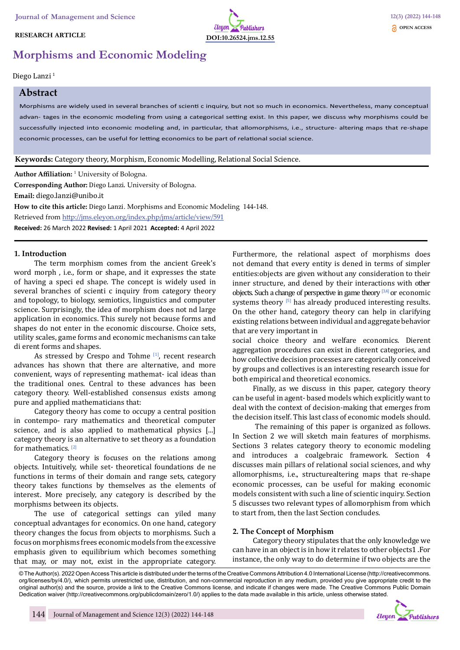## **RESEARCH ARTICLE**



# **Morphisms and Economic Modeling**

## Diego Lanzi 1

# **Abstract**

Morphisms are widely used in several branches of scienti c inquiry, but not so much in economics. Nevertheless, many conceptual advan- tages in the economic modeling from using a categorical setting exist. In this paper, we discuss why morphisms could be successfully injected into economic modeling and, in particular, that allomorphisms, i.e., structure- altering maps that re-shape economic processes, can be useful for letting economics to be part of relational social science.

## **Keywords:** Category theory, Morphism, Economic Modelling, Relational Social Science.

**Author Affiliation:** 1 University of Bologna.

**Corresponding Author:** Diego Lanzi. University of Bologna.

**Email:** diego.lanzi@unibo.it

**How to cite this article:** Diego Lanzi. Morphisms and Economic Modeling 144-148.

Retrieved from http://jms.eleyon.org/index.php/jms/article/view/591

**Received:** 26 March 2022 **Revised:** 1 April 2021 **Accepted:** 4 April 2022

#### **1. Introduction**

The term morphism comes from the ancient Greek's word morph , i.e., form or shape, and it expresses the state of having a speci ed shape. The concept is widely used in several branches of scienti c inquiry from category theory and topology, to biology, semiotics, linguistics and computer science. Surprisingly, the idea of morphism does not nd large application in economics. This surely not because forms and shapes do not enter in the economic discourse. Choice sets, utility scales, game forms and economic mechanisms can take di erent forms and shapes.

As stressed by Crespo and Tohme [1], recent research advances has shown that there are alternative, and more convenient, ways of representing mathemat- ical ideas than the traditional ones. Central to these advances has been category theory. Well-established consensus exists among pure and applied mathematicians that:

Category theory has come to occupy a central position in contempo- rary mathematics and theoretical computer science, and is also applied to mathematical physics [...] category theory is an alternative to set theory as a foundation for mathematics. [2]

Category theory is focuses on the relations among objects. Intuitively, while set- theoretical foundations de ne functions in terms of their domain and range sets, category theory takes functions by themselves as the elements of interest. More precisely, any category is described by the morphisms between its objects.

The use of categorical settings can yiled many conceptual advantages for economics. On one hand, category theory changes the focus from objects to morphisms. Such a focus on morphisms frees economic models from the excessive emphasis given to equilibrium which becomes something that may, or may not, exist in the appropriate category.

Furthermore, the relational aspect of morphisms does not demand that every entity is dened in terms of simpler entities:objects are given without any consideration to their inner structure, and dened by their interactions with other objects. Such a change of perspective in game theory  $[3,4]$  or economic systems theory [5] has already produced interesting results. On the other hand, category theory can help in clarifying existing relations between individual and aggregate behavior that are very important in

social choice theory and welfare economics. Dierent aggregation procedures can exist in dierent categories, and how collective decision processes are categorically conceived by groups and collectives is an interesting research issue for both empirical and theoretical economics.

Finally, as we discuss in this paper, category theory can be useful in agent- based models which explicitly want to deal with the context of decision-making that emerges from the decision itself. This last class of economic models should.

 The remaining of this paper is organized as follows. In Section 2 we will sketch main features of morphisms. Sections 3 relates category theory to economic modeling and introduces a coalgebraic framework. Section 4 discusses main pillars of relational social sciences, and why allomorphisms, i.e., structurealtering maps that re-shape economic processes, can be useful for making economic models consistent with such a line of scientic inquiry. Section 5 discusses two relevant types of allomorphism from which to start from, then the last Section concludes.

## **2. The Concept of Morphism**

Category theory stipulates that the only knowledge we can have in an object is in how it relates to other objects1 .For instance, the only way to do determine if two objects are the

© The Author(s). 2022 Open Access This article is distributed under the terms of the Creative Commons Attribution 4.0 International License (http://creativecommons. org/licenses/by/4.0/), which permits unrestricted use, distribution, and non-commercial reproduction in any medium, provided you give appropriate credit to the original author(s) and the source, provide a link to the Creative Commons license, and indicate if changes were made. The Creative Commons Public Domain Dedication waiver (http://creativecommons.org/publicdomain/zero/1.0/) applies to the data made available in this article, unless otherwise stated.

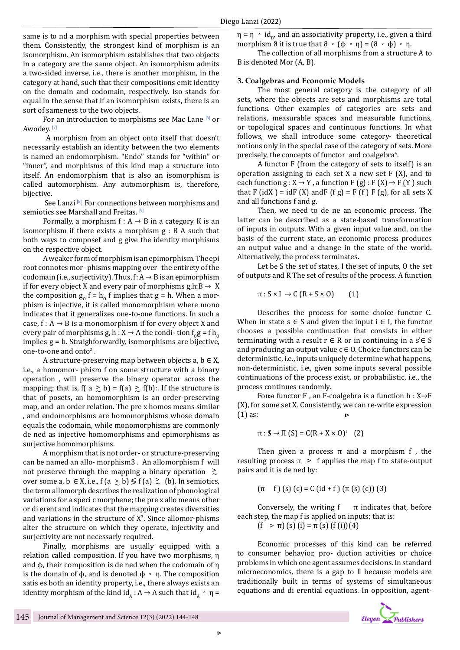same is to nd a morphism with special properties between them. Consistently, the strongest kind of morphism is an isomorphism. An isomorphism establishes that two objects in a category are the same object. An isomorphism admits a two-sided inverse, i.e., there is another morphism, in the category at hand, such that their compositions emit identity on the domain and codomain, respectively. Iso stands for equal in the sense that if an isomorphism exists, there is an sort of sameness to the two objects.

For an introduction to morphisms see Mac Lane [6] or Awodey.<sup>[7]</sup>

 A morphism from an object onto itself that doesn't necessarily establish an identity between the two elements is named an endomorphism. "Endo" stands for "within" or "inner", and morphisms of this kind map a structure into itself. An endomorphism that is also an isomorphism is called automorphism. Any automorphism is, therefore, bijective.

See Lanzi  $[8]$ . For connections between morphisms and semiotics see Marshall and Freitas. [9]

Formally, a morphism  $f : A \rightarrow B$  in a category K is an isomorphism if there exists a morphism g : B A such that both ways to composef and g give the identity morphisms on the respective object.

A weaker form of morphism is an epimorphism. The epi root connotes mor- phisms mapping over the entirety of the codomain (i.e., surjectivity). Thus,  $f: A \rightarrow B$  is an epimorphism if for every object X and every pair of morphisms  $g,h:B \to X$ the composition  $g_0 f = h_0 f$  implies that  $g = h$ . When a morphism is injective, it is called monomorphism where mono indicates that it generalizes one-to-one functions. In such a case,  $f : A \rightarrow B$  is a monomorphism if for every object X and every pair of morphisms g, h :  $X \rightarrow A$  the condi- tion  $f_0 g = f h_0$ implies g = h. Straighforwardly, isomorphisms are bijective, one-to-one and onto<sup>2</sup>.

A structure-preserving map between objects a,  $b \in X$ , i.e., a homomor- phism f on some structure with a binary operation , will preserve the binary operator across the mapping; that is,  $f(a \ge b) = f(a) \ge f(b)$ : If the structure is<br>that of needs an homomombian is an ardar necessive that of posets, an homomorphism is an order-preserving map, and an order relation. The pre x homos means similar , and endomorphisms are homomorphisms whose domain equals the codomain, while monomorphisms are commonly de ned as injective homomorphisms and epimorphisms as surjective homomorphisms.

A morphism that is not order- or structure-preserving can be named an allo- morphism3 . An allomorphism f will not preserve through the mapping a binary operation  $\gtrsim$ not preserve through the mapping a binary operation  $\sim$ <br>over some a, b ∈ X, i.e., f (a  $\geq$  b)  $\leq$  f (a)  $\geq$  (b). In semiotics,<br>the term allomorph describes the realization of phonological the term allomorph describes the realization of phonological variations for a speci c morphene; the pre x allo means other or di erent and indicates that the mapping creates diversities and variations in the structure of  $X<sup>3</sup>$ . Since allomor-phisms alter the structure on which they operate, injectivity and surjectivity are not necessarly required.

Finally, morphisms are usually equipped with a relation called composition. If you have two morphisms, η and ϕ, their composition is de ned when the codomain of η is the domain of  $\phi$ , and is denoted  $\phi \cdot \eta$ . The composition satis es both an identity property, i.e., there always exists an identity morphism of the kind id<sub> $\Lambda$ </sub> : A  $\rightarrow$  A such that id $\Lambda$  •  $\eta$  =

 $\eta = \eta \cdot id_{B}$ , and an associativity property, i.e., given a third morphism  $\vartheta$  it is true that  $\vartheta \cdot (\varphi \cdot \eta) = (\vartheta \cdot \varphi) \cdot \eta$ .

The collection of all morphisms from a structure A to B is denoted Mor (A, B).

## **3. Coalgebras and Economic Models**

The most general category is the category of all sets, where the objects are sets and morphisms are total functions. Other examples of categories are sets and relations, measurable spaces and measurable functions, or topological spaces and continuous functions. In what follows, we shall introduce some category- theoretical notions only in the special case of the category of sets. More precisely, the concepts of functor and coalgebra<sup>4</sup>.

A functor F (from the category of sets to itself) is an operation assigning to each set  $X$  a new set  $F(X)$ , and to each function  $g: X \to Y$ , a function  $F(g): F(X) \to F(Y)$  such that F (idX) = idF (X) andF (f g) = F (f ) F (g), for all sets X and all functions f and g.

Then, we need to de ne an economic process. The latter can be described as a state-based transformation of inputs in outputs. With a given input value and, on the basis of the current state, an economic process produces an output value and a change in the state of the world. Alternatively, the process terminates.

Let be S the set of states, I the set of inputs, O the set of outputs and R The set of results of the process. A function

$$
\pi: S \times I \to C (R + S \times 0) \qquad (1)
$$

Describes the process for some choice functor C. When in state  $s \in S$  and given the input  $i \in I$ , the functor chooses a possible continuation that consists in either terminating with a result  $r \in R$  or in continuing in a s' $\in S$ and producing an output value  $c \in O$ . Choice functors can be deterministic, i.e., inputs uniquely determine what happens, non-deterministic, i.e., given some inputs several possible continuations of the process exist, or probabilistic, i.e., the process continues randomly.

For a functor F, an F-coalgebra is a function  $h: X \rightarrow F$ (X), for some set X. Consistently, we can re-write expression (1) as:  $\triangleright$ 

$$
\pi: \mathbb{S} \to \Pi \text{ (S)} = C(R + X \times 0)^{1} \quad (2)
$$

Then given a process  $\pi$  and a morphism f, the resulting process  $\pi >$  f applies the map f to state-output pairs and it is de ned by:

$$
(\pi \quad f) (s) (c) = C (id + f) (\pi (s) (c)) (3)
$$

Conversely, the writing  $f - \pi$  indicates that, before each step, the map f is applied on inputs; that is:

 $(f > \pi)$  (s) (i) =  $\pi$  (s) (f(i))(4)

Economic processes of this kind can be referred to consumer behavior, pro- duction activities or choice problems in which one agent assumes decisions. In standard microeconomics, there is a gap to ll because models are traditionally built in terms of systems of simultaneous equations and di erential equations. In opposition, agent-

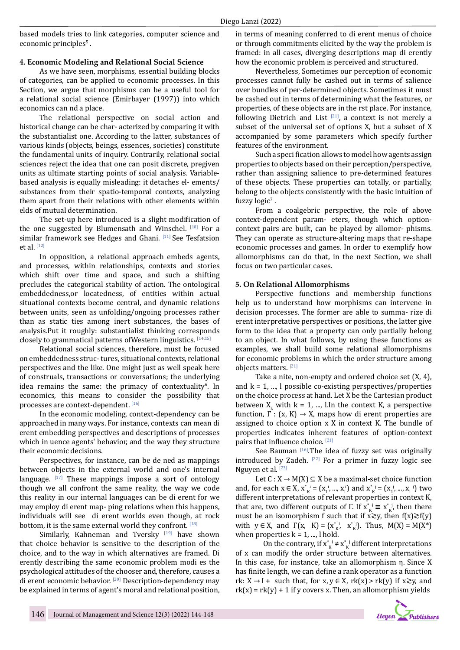based models tries to link categories, computer science and economic principles<sup>5</sup>.

# **4. Economic Modeling and Relational Social Science**

As we have seen, morphisms, essential building blocks of categories, can be applied to economic processes. In this Section, we argue that morphisms can be a useful tool for a relational social science (Emirbayer (1997)) into which economics can nd a place.

The relational perspective on social action and historical change can be char- acterized by comparing it with the substantialist one. According to the latter, substances of various kinds (objects, beings, essences, societies) constitute the fundamental units of inquiry. Contrarily, relational social sciences reject the idea that one can posit discrete, pregiven units as ultimate starting points of social analysis. Variablebased analysis is equally misleading: it detaches el- ements/ substances from their spatio-temporal contexts, analyzing them apart from their relations with other elements within elds of mutual determination.

The set-up here introduced is a slight modification of the one suggested by Blumensath and Winschel. [10] For a similar framework see Hedges and Ghani. [11] See Tesfatsion et al. [12]

In opposition, a relational approach embeds agents, and processes, within relationships, contexts and stories which shift over time and space, and such a shifting precludes the categorical stability of action. The ontological embeddedness,or locatedness, of entities within actual situational contexts become central, and dynamic relations between units, seen as unfolding/ongoing processes rather than as static ties among inert substances, the bases of analysis.Put it roughly: substantialist thinking corresponds closely to grammatical patterns ofWestern linguistics. [14,15]

Relational social sciences, therefore, must be focused on embeddedness struc- tures, situational contexts, relational perspectives and the like. One might just as well speak here of construals, transactions or conversations; the underlying idea remains the same: the primacy of contextuality<sup>6</sup>. In economics, this means to consider the possibility that processes are context-dependent. [16]

In the economic modeling, context-dependency can be approached in many ways. For instance, contexts can mean di erent embedding perspectives and descriptions of processes which in uence agents' behavior, and the way they structure their economic decisions.

Perspectives, for instance, can be de ned as mappings between objects in the external world and one's internal language.  $[17]$  These mappings impose a sort of ontology though we all confront the same reality, the way we code this reality in our internal languages can be di erent for we may employ di erent map- ping relations when this happens, individuals will see di erent worlds even though, at rock bottom, it is the same external world they confront. [18]

Similarly, Kahneman and Tversky [19] have shown that choice behavior is sensitive to the description of the choice, and to the way in which alternatives are framed. Di erently describing the same economic problem modi es the psychological attitudes of the chooser and, therefore, causes a di erent economic behavior. [20] Description-dependency may be explained in terms of agent's moral and relational position,

in terms of meaning conferred to di erent menus of choice or through commitments elicited by the way the problem is framed: in all cases, diverging descriptions map di erently how the economic problem is perceived and structured.

Nevertheless, Sometimes our perception of economic processes cannot fully be cashed out in terms of salience over bundles of per-determined objects. Sometimes it must be cashed out in terms of determining what the features, or properties, of these objects are in the rst place. For instance, following Dietrich and List  $[21]$ , a context is not merely a subset of the universal set of options X, but a subset of X accompanied by some parameters which specify further features of the environment.

Such a speci fication allows to model how agents assign properties to objects based on their perception/perspective, rather than assigning salience to pre-determined features of these objects. These properties can totally, or partially, belong to the objects consistently with the basic intuition of fuzzy  $logic^{\gamma}$ .

From a coalgebric perspective, the role of above context-dependent param- eters, though which optioncontext pairs are built, can be played by allomor- phisms. They can operate as structure-altering maps that re-shape economic processes and games. In order to exemplify how allomorphisms can do that, in the next Section, we shall focus on two particular cases.

## **5. On Relational Allomorphisms**

Perspective functions and membership functions help us to understand how morphisms can intervene in decision processes. The former are able to summa- rize di erent interpretative perspectives or positions, the latter give form to the idea that a property can only partially belong to an object. In what follows, by using these functions as examples, we shall build some relational allomorphisms for economic problems in which the order structure among objects matters. [21]

Take a nite, non-empty and ordered choice set (X, 4), and  $k = 1, ..., l$  possible co-existing perspectives/properties on the choice process at hand. Let X be the Cartesian product between  $X_k$  with  $k = 1, ..., l$ . In the context K, a perspective function,  $\Gamma : (x, K) \rightarrow X$ , maps how di erent properties are assigned to choice option x X in context K. The bundle of properties indicates inherent features of option-context pairs that influence choice. [21]

See Bauman [16].The idea of fuzzy set was originally introduced by Zadeh.  $[22]$  For a primer in fuzzy logic see Nguyen et al.<sup>[23]</sup>

Let  $C: X \rightarrow M(X) \subseteq X$  be a maximal-set choice function and, for each  $x \in X$ ,  $x_{K}^{*} = (x_{1}^{1}, ..., x_{1}^{1})$  and  $x_{K}^{*} = (x_{1}^{1}, ..., x_{1}^{1})$  two different interpretations of relevant properties in context K, that are, two different outputs of Γ. If  $x^*_{K} \equiv x^*_{K}$ , then there must be an isomorphism f such that if  $x \gtrsim y$ , then  $f(x) \gtrsim f(y)$ with  $y \in X$ , and  $\Gamma(x, K) = \{x_{K}^{*1}, x_{K}^{*1}\}\$ . Thus,  $M(X) = M(X^*)$ when properties  $k = 1, ..., l$  hold.

On the contrary, if  $x^*_{K} \neq x^*_{K}$  different interpretations of x can modify the order structure between alternatives. In this case, for instance, take an allomorphism η. Since X has finite length, we can define a rank operator as a function rk:  $X \rightarrow I +$  such that, for  $x, y \in X$ , rk(x) > rk(y) if  $x \gtrsim y$ , and  $rk(x) = rk(y) + 1$  if y covers x. Then, an allomorphism yields

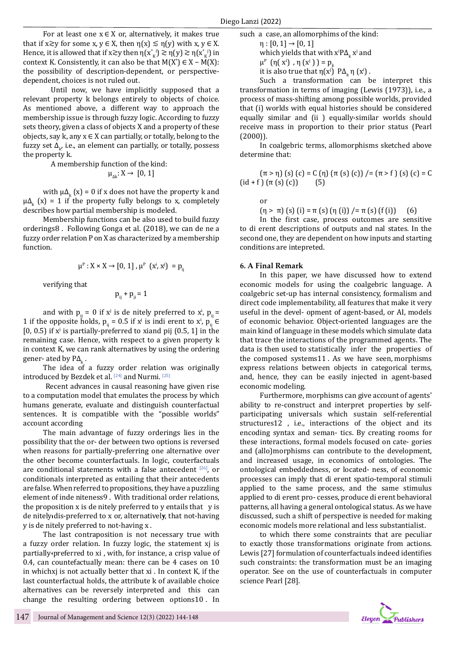For at least one  $x \in X$  or, alternatively, it makes true that if  $x \gtrsim y$  for some  $x, y \in X$ , then  $\eta(x) \lesssim \eta(y)$  with  $x, y \in X$ . Hence, it is allowed that if  $x \gtrsim y$  then  $\eta(x_{\kappa}^i) \gtrsim \eta(y) \gtrsim \eta(x_{\kappa}^i)$  in context K. Consistently, it can also be that  $M(X^{\prime}) \in X - M(X)$ : the possibility of description-dependent, or perspectivedependent, choices is not ruled out.

Until now, we have implicitly supposed that a relevant property k belongs entirely to objects of choice. As mentioned above, a different way to approach the membership issue is through fuzzy logic. According to fuzzy sets theory, given a class of objects X and a property of these objects, say k, any  $x \in X$  can partially, or totally, belong to the fuzzy set  $\Delta_{k'}$  i.e., an element can partially, or totally, possess the property k.

A membership function of the kind:

 $\mu_{\Delta k}: X \rightarrow [0, 1]$ 

with  $\mu\Delta_k(x) = 0$  if x does not have the property k and  $\mu\Delta_k$  (x) = 1 if the property fully belongs to x, completely describes how partial membership is modeled.

Membership functions can be also used to build fuzzy orderings8 . Following Gonga et al. (2018), we can de ne a fuzzy order relation P on X as characterized by a membership function.

$$
\mu^{\mathrm{p}}: X \times X \to [0, 1] \text{ , } \mu^{\mathrm{p}} \text{ (}x^{\mathrm{i}}, x^{\mathrm{j}} \text{)} = \mathrm{p}_{\mathrm{ij}}
$$

verifying that

$$
p_{ij} + p_{ji} = 1
$$

and with  $p_{ij} = 0$  if x<sup>j</sup> is de nitely preferred to x<sup>i</sup>,  $p_{ij} =$ 1 if the opposite holds,  $p_{ij} = 0.5$  if  $x^j$  is indi erent to  $x^i$ ,  $p_{ij} \in$  $[0, 0.5]$  if  $x^j$  is partially-preferred to xiand pij  $(0.5, 1]$  in the remaining case. Hence, with respect to a given property k in context K, we can rank alternatives by using the ordering gener- ated by  $P\Delta_k$ .

The idea of a fuzzy order relation was originally introduced by Bezdek et al. [24] and Nurmi. [25]

 Recent advances in causal reasoning have given rise to a computation model that emulates the process by which humans generate, evaluate and distinguish counterfactual sentences. It is compatible with the "possible worlds" account according

The main advantage of fuzzy orderings lies in the possibility that the or- der between two options is reversed when reasons for partially-preferring one alternative over the other become counterfactuals. In logic, couterfactuals are conditional statements with a false antecedent  $[26]$ , or conditionals interpreted as entailing that their antecedents are false. When referred to propositions, they have a puzzling element of inde niteness9 . With traditional order relations, the proposition  $x$  is de nitely preferred to  $y$  entails that  $y$  is de nitely dis-preferred to x or, alternatively, that not-having y is de nitely preferred to not-having x .

The last contraposition is not necessary true with a fuzzy order relation. In fuzzy logic, the statement xj is partially-preferred to xi , with, for instance, a crisp value of 0.4, can countefactually mean: there can be 4 cases on 10 in whichxj is not actually better that xi . In context K, if the last counterfactual holds, the attribute k of available choice alternatives can be reversely interpreted and this can change the resulting ordering between options10 . In such a case, an allomorphims of the kind:

 $\eta : [0, 1] \to [0, 1]$ 

which yields that with  $x^i P\Delta_k x^j$  and

 $μ<sup>P</sup> (η(x<sup>i</sup>) , η(x<sup>j</sup>)) = p<sub>ij</sub>$ 

it is also true that  $η(x^j)$   $PA_k$   $η(x^i)$ .

Such a transformation can be interpret this transformation in terms of imaging (Lewis (1973)), i.e., a process of mass-shifting among possible worlds, provided that (i) worlds with equal histories should be considered equally similar and (ii ) equally-similar worlds should receive mass in proportion to their prior status (Pearl (2000)).

In coalgebric terms, allomorphisms sketched above determine that:

$$
(\pi > \eta) (s) (c) = C (\eta) (\pi (s) (c)) / = (\pi > f) (s) (c) = C
$$
  
(id + f) (\pi (s) (c)) (5)

or

 $(\eta > \pi)$  (s) (i) =  $\pi$  (s) ( $\eta$  (i)) /=  $\pi$  (s) (f (i)) (6)

In the first case, process outcomes are sensitive to di erent descriptions of outputs and nal states. In the second one, they are dependent on how inputs and starting conditions are intepreted.

#### **6. A Final Remark**

In this paper, we have discussed how to extend economic models for using the coalgebric language. A coalgebric set-up has internal consistency, formalism and direct code implementability, all features that make it very useful in the devel- opment of agent-based, or AI, models of economic behavior. Object-oriented languages are the main kind of language in these models which simulate data that trace the interactions of the programmed agents. The data is then used to statistically infer the properties of the composed systems11 . As we have seen, morphisms express relations between objects in categorical terms, and, hence, they can be easily injected in agent-based economic modeling.

Furthermore, morphisms can give account of agents' ability to re-construct and interpret properties by selfparticipating universals which sustain self-referential structures12 , i.e., interactions of the object and its encoding syntax and seman- tics. By creating rooms for these interactions, formal models focused on cate- gories and (allo)morphisms can contribute to the development, and increased usage, in economics of ontologies. The ontological embeddedness, or located- ness, of economic processes can imply that di erent spatio-temporal stimuli applied to the same process, and the same stimulus applied to di erent pro- cesses, produce di erent behavioral patterns, all having a general ontological status. As we have discussed, such a shift of perspective is needed for making economic models more relational and less substantialist.

to which there some constraints that are peculiar to exactly those transformations originate from actions. Lewis [27] formulation of counterfactuals indeed identifies such constraints: the transformation must be an imaging operator. See on the use of counterfactuals in computer science Pearl [28].